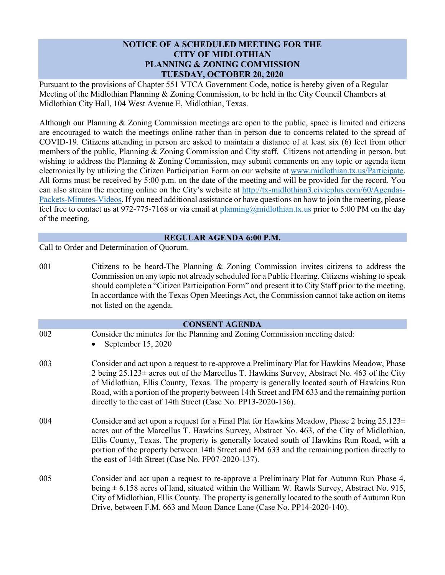# **NOTICE OF A SCHEDULED MEETING FOR THE CITY OF MIDLOTHIAN PLANNING & ZONING COMMISSION TUESDAY, OCTOBER 20, 2020**

Pursuant to the provisions of Chapter 551 VTCA Government Code, notice is hereby given of a Regular Meeting of the Midlothian Planning & Zoning Commission, to be held in the City Council Chambers at Midlothian City Hall, 104 West Avenue E, Midlothian, Texas.

Although our Planning & Zoning Commission meetings are open to the public, space is limited and citizens are encouraged to watch the meetings online rather than in person due to concerns related to the spread of COVID-19. Citizens attending in person are asked to maintain a distance of at least six (6) feet from other members of the public, Planning & Zoning Commission and City staff. Citizens not attending in person, but wishing to address the Planning & Zoning Commission, may submit comments on any topic or agenda item electronically by utilizing the Citizen Participation Form on our website at [www.midlothian.tx.us/Participate.](http://www.midlothian.tx.us/Participate) All forms must be received by 5:00 p.m. on the date of the meeting and will be provided for the record. You can also stream the meeting online on the City's website at [http://tx-midlothian3.civicplus.com/60/Agendas-](http://tx-midlothian3.civicplus.com/60/Agendas-Packets-Minutes-Videos)[Packets-Minutes-Videos.](http://tx-midlothian3.civicplus.com/60/Agendas-Packets-Minutes-Videos) If you need additional assistance or have questions on how to join the meeting, please feel free to contact us at 972-775-7168 or via email a[t planning@midlothian.tx.us](mailto:planning@midlothian.tx.us) prior to 5:00 PM on the day of the meeting.

# **REGULAR AGENDA 6:00 P.M.**

Call to Order and Determination of Quorum.

001 Citizens to be heard-The Planning & Zoning Commission invites citizens to address the Commission on any topic not already scheduled for a Public Hearing. Citizens wishing to speak should complete a "Citizen Participation Form" and present it to City Staff prior to the meeting. In accordance with the Texas Open Meetings Act, the Commission cannot take action on items not listed on the agenda. **CONSENT AGENDA** 002 Consider the minutes for the Planning and Zoning Commission meeting dated: • September 15, 2020 003 Consider and act upon a request to re-approve a Preliminary Plat for Hawkins Meadow, Phase 2 being 25.123± acres out of the Marcellus T. Hawkins Survey, Abstract No. 463 of the City of Midlothian, Ellis County, Texas. The property is generally located south of Hawkins Run Road, with a portion of the property between 14th Street and FM 633 and the remaining portion directly to the east of 14th Street (Case No. PP13-2020-136). 004 Consider and act upon a request for a Final Plat for Hawkins Meadow, Phase 2 being  $25.123 \pm$ acres out of the Marcellus T. Hawkins Survey, Abstract No. 463, of the City of Midlothian, Ellis County, Texas. The property is generally located south of Hawkins Run Road, with a portion of the property between 14th Street and FM 633 and the remaining portion directly to the east of 14th Street (Case No. FP07-2020-137). 005 Consider and act upon a request to re-approve a Preliminary Plat for Autumn Run Phase 4, being  $\pm$  6.158 acres of land, situated within the William W. Rawls Survey, Abstract No. 915, City of Midlothian, Ellis County. The property is generally located to the south of Autumn Run Drive, between F.M. 663 and Moon Dance Lane (Case No. PP14-2020-140).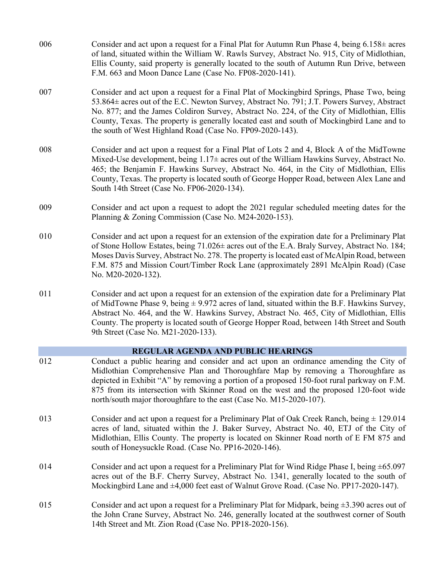- 006 Consider and act upon a request for a Final Plat for Autumn Run Phase 4, being  $6.158\pm$  acres of land, situated within the William W. Rawls Survey, Abstract No. 915, City of Midlothian, Ellis County, said property is generally located to the south of Autumn Run Drive, between F.M. 663 and Moon Dance Lane (Case No. FP08-2020-141).
- 007 Consider and act upon a request for a Final Plat of Mockingbird Springs, Phase Two, being 53.864± acres out of the E.C. Newton Survey, Abstract No. 791; J.T. Powers Survey, Abstract No. 877; and the James Coldiron Survey, Abstract No. 224, of the City of Midlothian, Ellis County, Texas. The property is generally located east and south of Mockingbird Lane and to the south of West Highland Road (Case No. FP09-2020-143).
- 008 Consider and act upon a request for a Final Plat of Lots 2 and 4, Block A of the MidTowne Mixed-Use development, being 1.17± acres out of the William Hawkins Survey, Abstract No. 465; the Benjamin F. Hawkins Survey, Abstract No. 464, in the City of Midlothian, Ellis County, Texas. The property is located south of George Hopper Road, between Alex Lane and South 14th Street (Case No. FP06-2020-134).
- 009 Consider and act upon a request to adopt the 2021 regular scheduled meeting dates for the Planning & Zoning Commission (Case No. M24-2020-153).
- 010 Consider and act upon a request for an extension of the expiration date for a Preliminary Plat of Stone Hollow Estates, being 71.026± acres out of the E.A. Braly Survey, Abstract No. 184; Moses Davis Survey, Abstract No. 278. The property is located east of McAlpin Road, between F.M. 875 and Mission Court/Timber Rock Lane (approximately 2891 McAlpin Road) (Case No. M20-2020-132).
- 011 Consider and act upon a request for an extension of the expiration date for a Preliminary Plat of MidTowne Phase 9, being  $\pm$  9.972 acres of land, situated within the B.F. Hawkins Survey, Abstract No. 464, and the W. Hawkins Survey, Abstract No. 465, City of Midlothian, Ellis County. The property is located south of George Hopper Road, between 14th Street and South 9th Street (Case No. M21-2020-133).

### **REGULAR AGENDA AND PUBLIC HEARINGS**

- 012 Conduct a public hearing and consider and act upon an ordinance amending the City of Midlothian Comprehensive Plan and Thoroughfare Map by removing a Thoroughfare as depicted in Exhibit "A" by removing a portion of a proposed 150-foot rural parkway on F.M. 875 from its intersection with Skinner Road on the west and the proposed 120-foot wide north/south major thoroughfare to the east (Case No. M15-2020-107).
- 013 Consider and act upon a request for a Preliminary Plat of Oak Creek Ranch, being  $\pm$  129.014 acres of land, situated within the J. Baker Survey, Abstract No. 40, ETJ of the City of Midlothian, Ellis County. The property is located on Skinner Road north of E FM 875 and south of Honeysuckle Road. (Case No. PP16-2020-146).
- 014 Consider and act upon a request for a Preliminary Plat for Wind Ridge Phase I, being ±65.097 acres out of the B.F. Cherry Survey, Abstract No. 1341, generally located to the south of Mockingbird Lane and ±4,000 feet east of Walnut Grove Road. (Case No. PP17-2020-147).
- 015 Consider and act upon a request for a Preliminary Plat for Midpark, being  $\pm 3.390$  acres out of the John Crane Survey, Abstract No. 246, generally located at the southwest corner of South 14th Street and Mt. Zion Road (Case No. PP18-2020-156).